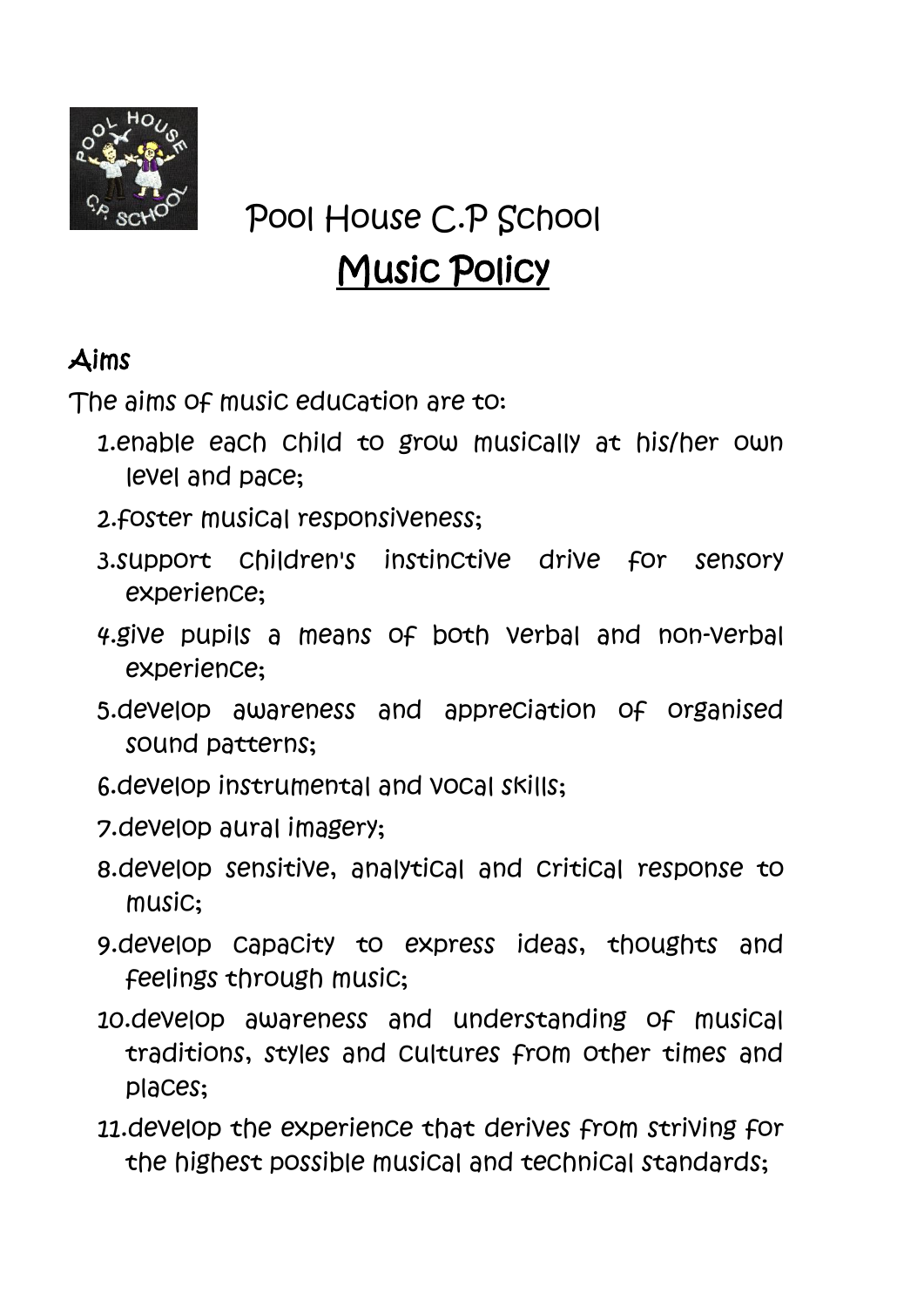

# Pool House C.P School Music Policy

# Aims

The aims of music education are to:

- 1.enable each child to grow musically at his/her own level and pace;
- 2.foster musical responsiveness;
- 3.support children's instinctive drive for sensory experience;
- 4.give pupils a means of both verbal and non-verbal experience;
- 5.develop awareness and appreciation of organised sound patterns;
- 6.develop instrumental and vocal skills;
- 7.develop aural imagery;
- 8.develop sensitive, analytical and critical response to music;
- 9.develop capacity to express ideas, thoughts and feelings through music;
- 10.develop awareness and understanding of musical traditions, styles and cultures from other times and places;
- 11.develop the experience that derives from striving for the highest possible musical and technical standards;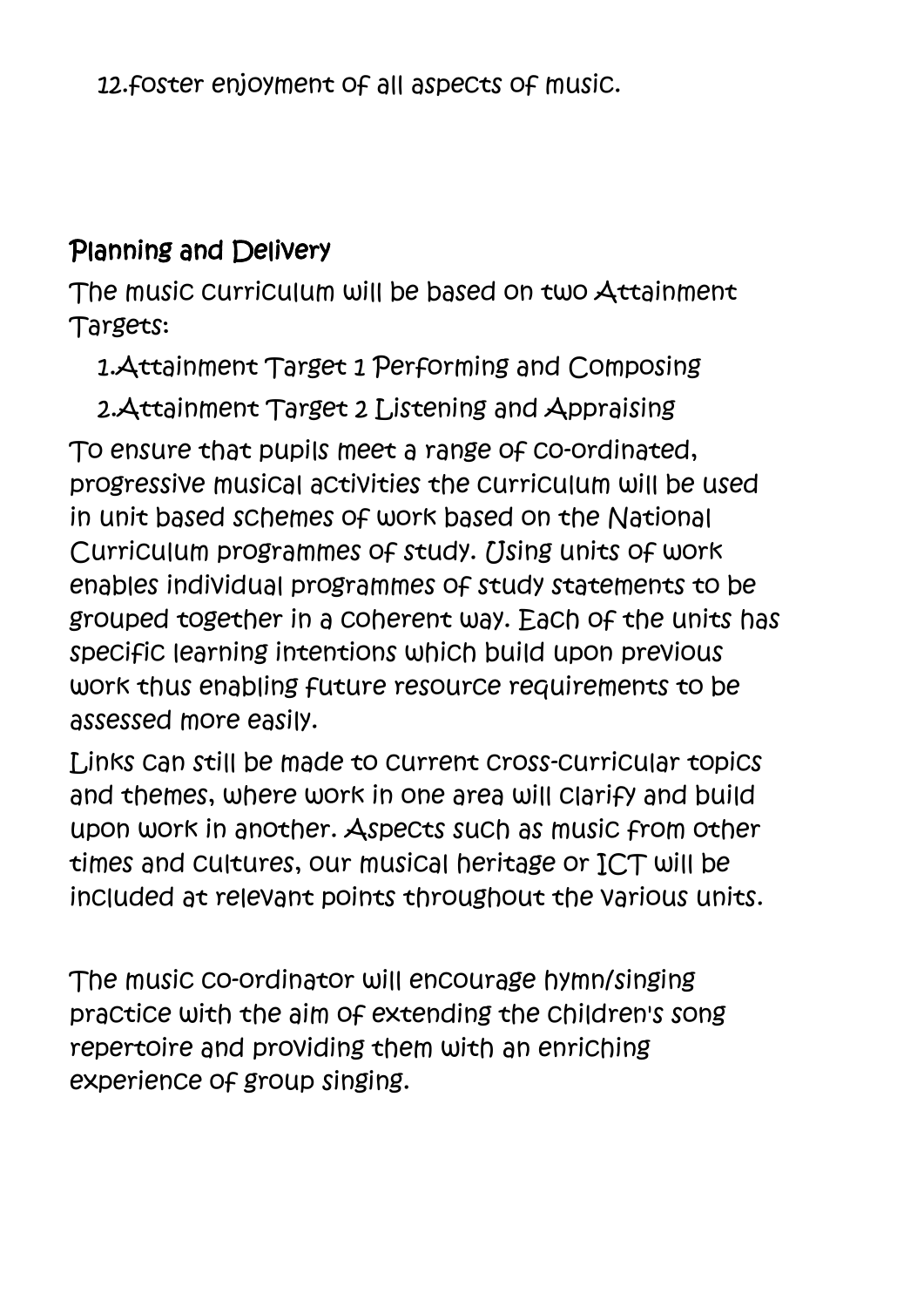## Planning and Delivery

The music curriculum will be based on two Attainment Targets:

1.Attainment Target 1 Performing and Composing

2.Attainment Target 2 Listening and Appraising To ensure that pupils meet a range of co-ordinated, progressive musical activities the curriculum will be used in unit based schemes of work based on the National Curriculum programmes of study. [Jsing units of work] enables individual programmes of study statements to be grouped together in a coherent way. Each of the units has specific learning intentions which build upon previous work thus enabling future resource requirements to be assessed more easily.

Links can still be made to current cross-curricular topics and themes, where work in one area will clarify and build upon work in another. Aspects such as music from other times and cultures, our musical heritage or ICT will be included at relevant points throughout the various units.

The music co-ordinator will encourage hymn/singing practice with the aim of extending the children's song repertoire and providing them with an enriching experience of group singing.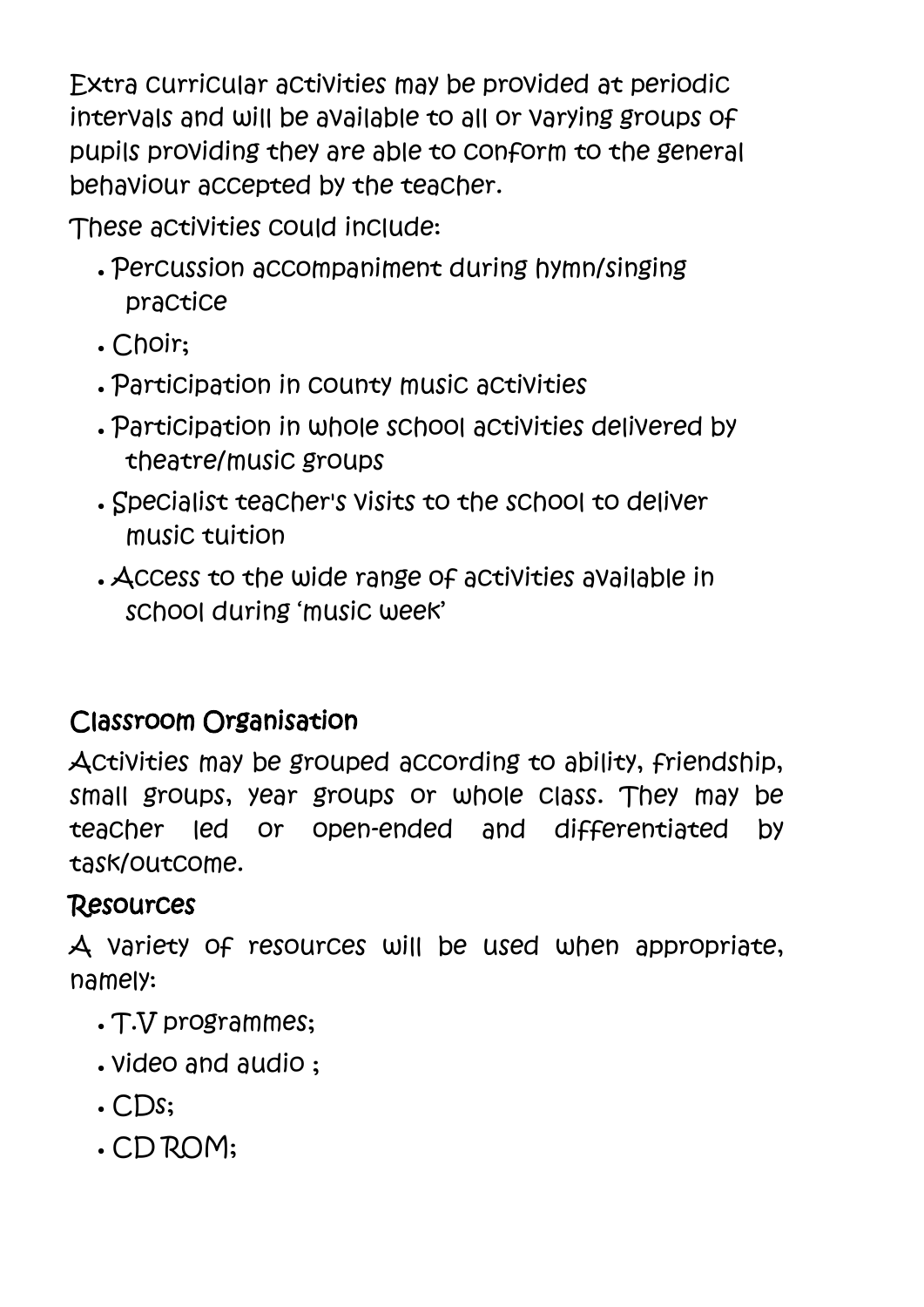Extra curricular activities may be provided at periodic intervals and will be available to all or varying groups of pupils providing they are able to conform to the general behaviour accepted by the teacher.

These activities could include:

- Percussion accompaniment during hymn/singing practice
- . Choir:
- Participation in county music activities
- Participation in whole school activities delivered by theatre/music groups
- Specialist teacher's visits to the school to deliver music tuition
- Access to the wide range of activities available in school during 'music week'

# Classroom Organisation

Activities may be grouped according to ability, friendship, small groups, year groups or whole class. They may be teacher led or open-ended and differentiated by task/outcome.

#### Resources

A variety of resources will be used when appropriate, namely:

- T.V programmes;
- video and audio ;
- $\cdot$  CDs;
- CD ROM;